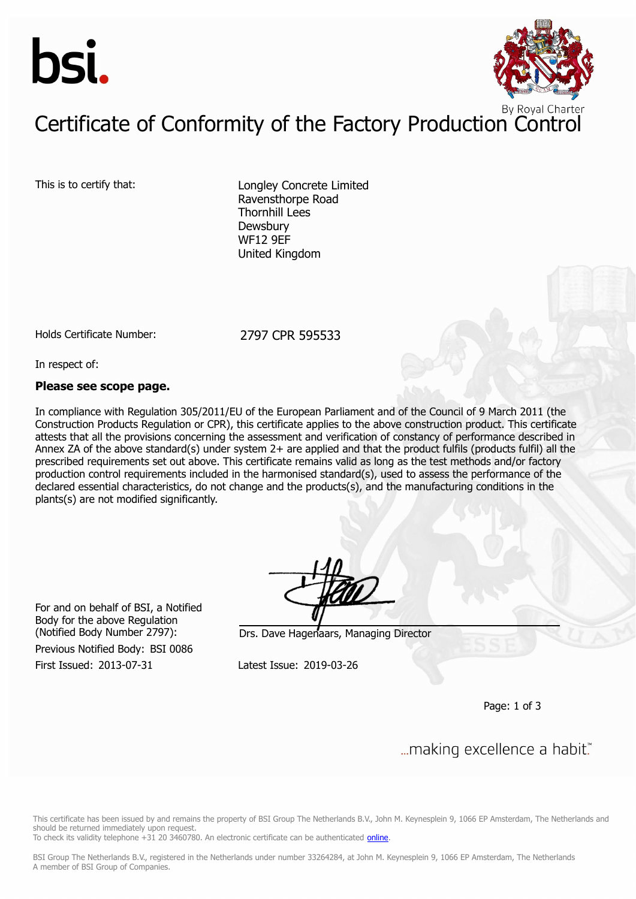



# Certificate of Conformity of the Factory Production Control

This is to certify that: Longley Concrete Limited Ravensthorpe Road Thornhill Lees **Dewsbury** WF12 9EF United Kingdom

Holds Certificate Number: 2797 CPR 595533

In respect of:

#### **Please see scope page.**

In compliance with Regulation 305/2011/EU of the European Parliament and of the Council of 9 March 2011 (the Construction Products Regulation or CPR), this certificate applies to the above construction product. This certificate attests that all the provisions concerning the assessment and verification of constancy of performance described in Annex ZA of the above standard(s) under system 2+ are applied and that the product fulfils (products fulfil) all the prescribed requirements set out above. This certificate remains valid as long as the test methods and/or factory production control requirements included in the harmonised standard(s), used to assess the performance of the declared essential characteristics, do not change and the products(s), and the manufacturing conditions in the plants(s) are not modified significantly.

For and on behalf of BSI, a Notified Body for the above Regulation

Previous Notified Body: BSI 0086

(Notified Body Number 2797): Drs. Dave Hagenaars, Managing Director

First Issued: 2013-07-31 Latest Issue: 2019-03-26

Page: 1 of 3

... making excellence a habit."

This certificate has been issued by and remains the property of BSI Group The Netherlands B.V., John M. Keynesplein 9, 1066 EP Amsterdam, The Netherlands and should be returned immediately upon request.

To check its validity telephone +31 20 3460780. An electronic certificate can be authenticated [online.](https://pgplus.bsigroup.com/CertificateValidation/CertificateValidator.aspx?CertificateNumber=CPR 595533&ReIssueDate=26/03/2019&Template=uk)

BSI Group The Netherlands B.V., registered in the Netherlands under number 33264284, at John M. Keynesplein 9, 1066 EP Amsterdam, The Netherlands A member of BSI Group of Companies.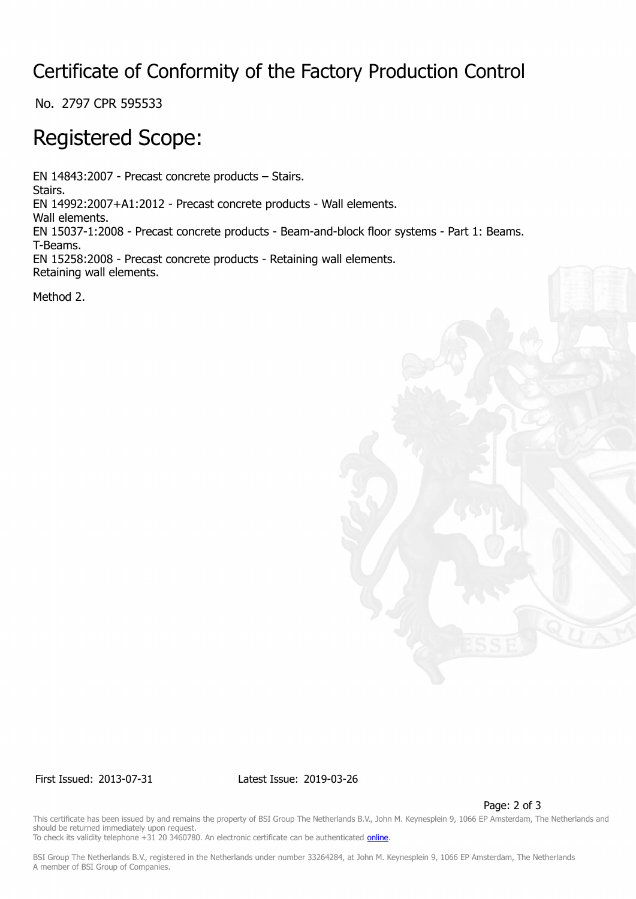## Certificate of Conformity of the Factory Production Control

No. 2797 CPR 595533

## Registered Scope:

EN 14843:2007 - Precast concrete products – Stairs. Stairs. EN 14992:2007+A1:2012 - Precast concrete products - Wall elements. Wall elements. EN 15037-1:2008 - Precast concrete products - Beam-and-block floor systems - Part 1: Beams. T-Beams. EN 15258:2008 - Precast concrete products - Retaining wall elements. Retaining wall elements.

Method 2.



First Issued: 2013-07-31 Latest Issue: 2019-03-26

Page: 2 of 3

This certificate has been issued by and remains the property of BSI Group The Netherlands B.V., John M. Keynesplein 9, 1066 EP Amsterdam, The Netherlands and should be returned immediately upon request. To check its validity telephone +31 20 3460780. An electronic certificate can be authenticated *online*.

BSI Group The Netherlands B.V., registered in the Netherlands under number 33264284, at John M. Keynesplein 9, 1066 EP Amsterdam, The Netherlands A member of BSI Group of Companies.